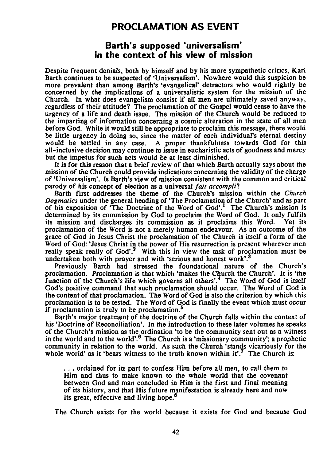## **PROCLAMATION AS EVENT**

## **Barth's supposed 'universalism' in the context of his view of mission**

Despite frequent denials, both by himself and by his more sympathetic critics, Karl Barth continues to be suspected of 'Universalism'. Nowhere would this suspicion be more prevalent than among Barth's 'evangelical' detractors who would rightly be concerned by the implications of a universalistic system for the mission of the Church. In what does evangelism consist if all men are ultimately saved anyway, regardless of their attitude? The proclamation of the Gospel would cease to have the urgency of a life and death issue. The mission of the Church would be reduced to the imparting of information concerning a cosmic alteration in the state of all men before God. While it would still be appropriate to proclaim this message, there would be little urgency in doing so, since the matter of each individual's eternal destiny would be settled in any case. A proper thankfulness towards God for this all-inclusive decision may continue to issue in eucharistic acts of goodness and mercy but the impetus for such acts would be at least diminished.

It is for this reason that a brief review of that which Barth actually says about the mission of the Church could provide indications concerning the validity of the charge of 'Universalism'. Is Barth's view of mission consistent with the common and critical parody of his concept of election as a universal *fait accompli*?

Barth first addresses the theme of the Church's mission within the *Church Dogmatics* under the general heading of 'The Proclamation of the Church' and as part of his exposition of 'The Doctrine of the Word of God'.<sup>1</sup> The Church's mission is determined by its commission by God to proclaim the Word of God. It only fulfils<br>its mission and discharges its commission as it proclaims this Word. Yet its its mission and discharges its commission as it proclaims this Word. proclamation of the Word is not a merely human endeavour. As an outcome of the grace of God in Jesus Christ the proclamation of the Church is itself a form of the Word of God: 'Jesus Christ in the power of His resurrection is present wherever men really speak really of God'.<sup>2</sup> With this in view the task of proclamation must be undertaken both with prayer and with 'serious and honest work'.<sup>3</sup>

Previously Barth had stressed the foundational nature of the Church's proclamation. Proclamation is that which 'makes the Church the Church'. It is 'the function of the Church's life which governs all others'.<sup>4</sup> The Word of God is itself God's positive command that such proclamation should occur. The Word of God is the content of that proclamation. The Word of God is also the criterion by which this proclamation is to be tested. The Word of God is finally the event which must occur if proclamation is truly to be proclamation. $<sup>5</sup>$ </sup>

Barth's major treatment of the doctrine of the Church falls within the context of his 'Doctrine of Reconciliation'. In the introduction to these later volumes he speaks of the Church's mission as the ordination 'to be the community sent out as a witness in the world and to the world'.<sup>6</sup> The Church is a 'missionary community'; a prophetic community in relation to the world. As such the Church 'stands vicariously for the whole world' as it 'bears witness to the truth known within it'.<sup>7</sup> The Church is:

... ordained for its part to confess Him before all men, to call them to Him and thus to make known to the whole world that the covenant between God and man concluded in Him is the first and final meaning of its history, and that His future manifestation is already here and now its great, effective and living hope.<sup>8</sup>

The Church exists for the world because it exists for God and because God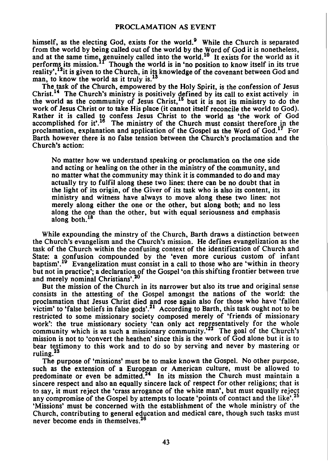himself, as the electing God, exists for the world. $9$  While the Church is separated from the world by being called out of the world by the Word of God it is nonetheless, and at the same time, genuinely called into the world.<sup>10</sup> It exists for the world as it performs its mission.<sup>11</sup> Though the world is in 'no position to know itself in its true reality',<sup>12</sup>it is given to the Church, in its knowledge of the covenant between God and man, to know the world as it truly is.<sup>13</sup>

The task of the Church, empowered by the Holy Spirit, is the confession of Jesus Christ.<sup>14</sup> The Church's ministry is positively defined by its call to exist actively in the world as the community of Jesus Christ,<sup>15</sup> but it is not its ministry to do the work of Jesus Christ or to take His place (it cannot itself reconcile the world to God). Rather it is called to confess Jesus Christ to the world as 'the work of God accomplished for it'.<sup>16</sup> The ministry of the Church must consist therefore in the proclamation, explanation and application of the Gospel as the Word of  $God<sup>17</sup>$ . For Barth however there is no false tension between the Church's proclamation and the Church's action:

No matter how we understand speaking or proclamation on the one side and acting or healing on the other in the ministry of the community, and no matter what the community may think it is commanded to do and may actually try to fulfil along these two lines: there can be no doubt that in the light of its origin, of the Giver of its task who is also its content, its ministry and witness have always to move along these two lines: not merely along either the one or the other, but along both; and no less along the one than the other, but with equal seriousness and emphasis along both.<sup>18</sup>

While expounding the minstry of the Church, Barth draws a distinction between the Church's evangelism and the Church's mission. He defines evangelization as the task of the Church within the confusing context of the identification of Church and State: a confusion compounded by the 'even more curious custom of infant baptism'.<sup>19</sup> Evangelization must consist in a call to those who are 'within in theory but not in practice'; a declaration of the Gospel 'on this shifting frontier between true and merely nominal Christians'. 20

But the mission of the Church in its narrower but also its true and original sense consists in the attesting of the Gospel amongst the nations of the world: the proclamation that Jesus Christ died and rose again also for those who have 'fallen victim' to 'false beliefs in false gods'.<sup>21</sup> According to Barth, this task ought not to be restricted to some missionary society composed merely of 'friends of missionary work': the true missionary society 'can only act representatively for the whole community which is as such a missionary community.<sup>322</sup> The goal of the Church's mission is not to 'convert the heathen' since this is the work of God alone but it is to bear testimony to this work and to do so by serving and never by mastering or ruling.<sup>23</sup>

The purpose of 'missions' must be to make known the Gospel. No other purpose, such as the extension of a European or American culture, must be allowed to predominate or even be admitted. $24$  In its mission the Church must maintain a sincere respect and also an equally sincere lack of respect for other religions; that is to say, it must reject the 'crass arrogance of the white man', but must equally reject any compromise of the Gospel by attempts to locate 'points of contact and the like'.<sup>2</sup> 'Missions' must be concerned with the establishment of the whole ministry of the Church, contributing to general education and medical care, though such tasks must never become ends in themselves.<sup>26</sup>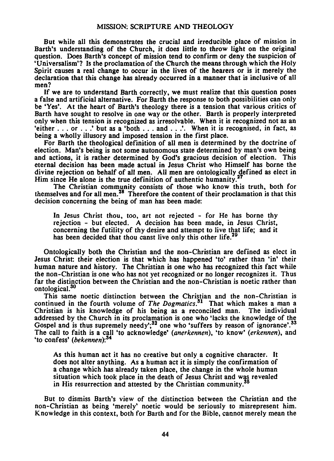But while all this demonstrates the crucial and irreducible place of mission in Barth's understanding of the Church, it does little to throw light on the original question. Does Barth's concept of mission tend to confirm or deny the suspicion of 'Universalism'? Is the proclamation of the Church the means through which the Holy Spirit causes a real change to occur in the lives of the hearers or is it merely the declaration that this change has already occurred in a manner that is inclusive of all men?

If we are to understand Barth correctly, we must realize that this question poses a false and artificial alternative. For Barth the response to both possibilities can only be 'Yes'. At the heart of Barth's theology there is a tension that various critics of Barth have sought to resolve in one way or the other. Barth is properly interpreted only when this tension is recognized as irresolvable. When it is recognized not as an 'either  $\dots$  or  $\dots$  but as a 'both  $\dots$  and  $\dots$ . When it is recognised, in fact, as being a wholly illusory and imposed tension in the first place.

For Barth the theological definition of all men is determined by the doctrine of election. Man's being is not some autonomous state determined by man's own being and actions, it is rather determined by God's gracious decision of election. This eternal decision has been made actual in Jesus Christ who Himself has borne the divine rejection on behalf of all men. All men are ontologically defined as elect in Him since He alone is the true definition of authentic humanity.<sup>2</sup>

The Christian community consists of those who know this truth, both for themselves and for all men.<sup>28</sup> Therefore the content of their proclamation is that this decision concerning the being of man has been made:

In Jesus Christ thou, too, art not rejected - for He has borne thy rejection - but elected. A decision has been made, in Jesus Christ, concerning the futility of thy desire and attempt to live that life; and it has been decided that thou canst live only this other life.<sup>29</sup>

Ontologically both the Christian and the non-Christian are defined as elect in Jesus Christ: their election is that which has happened 'to' rather than 'in' their human nature and history. The Christian is one who has recognized this fact while the non-Christian is one who has not yet recognized or no longer recognizes it. Thus far the distinction between the Christian and the non-Christian is noetic rather than ontological.<sup>30</sup>

This same noetic distinction between the Christian and the non-Christian is continued in the fourth volume of *The Dogmatics.31* That which makes a man a Christian is his knowledge of his being as a reconciled man. The individual addressed by the Church in its proclamation is one who 'lacks the knowledge of the Gospel and is thus supremely needy',  $3^2$  one who 'suffers by reason of ignorance'.<sup>33</sup> The call to faith is a call 'to acknowledge' (anerkennen), 'to know' (erkennen), and 'to confess' (bekennen):<sup>34</sup>

As this human act it has no creative but only a cognitive character. It does not alter anything. As a human act it is simply the confirmation of a change which has already taken place, the change in the whole human situation which took place in the death of Jesus Christ and was revealed in His resurrection and attested by the Christian community.

But to dismiss Barth's view of the distinction between the Christian and the non-Christian as being 'merely' noetic would be seriously to misrepresent him. Knowledge in this context, both for Barth and for the Bible, cannot merely mean the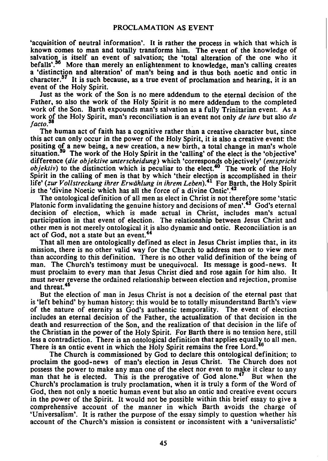'acquisition of neutral information'. It is rather the process in which that which is known comes to man and totally transforms him. The event of the knowledge of salvation is itself an event of salvation; the 'total alteration of the one who it befalls'.<sup>36</sup> More than merely an enlightenment to knowledge, man's calling creates a 'distinction and alteration' of man's being and is thus both noetic and ontic in character.37 It is such because, as a true event of proclamation and hearing, it is an event of the Holy Spirit.

Just as the work of the Son is no mere addendum to the eternal decision of the Father, so also the work of the Holy Spirit is no mere addendum to the completed work of the Son. Barth expounds man's salvation as a fully Trinitarian event. As a work of the Holy Spirit, man's reconciliation is an event not only *de iure* but also *de facto.ss* 

The human act of faith has a cognitive rather than a creative character but, since this act can only occur in the power of the Holy Spirit, it is also a creative event: the positing of a new being, a new creation, a new birth, a total change in man's whole situation.<sup>39</sup> The work of the Holy Spirit in the 'calling' of the elect is the 'objective' difference *(die objektive unterscheidung)* which 'corresponds objectively' *(entspricht objektiv*) to the distinction which is peculiar to the elect.<sup>40</sup> The work of the Holy Spirit in the calling of men is that by which 'their election is accomplished in their life' *(zur Vollstreckung ihrer Erwiihlung in ihrem Leben).41* For Barth, the Holy Spirit is the 'divine Noetic which has all the force of a divine Ontic'.<sup>42</sup>

The ontological definition of all men as elect in Christ is not therefore some 'static Platonic form invalidating the genuine history and decisions of men'.<sup>43</sup> God's eternal decision of election, which is made actual in Christ, includes man's actual participation in that event of election. The relationship between Jesus Christ and other men is not merely ontological it is also dynamic and ontic. Reconciliation is an act of God, not a state but an event.<sup>44</sup>

That all men are ontologically defined as elect in Jesus Christ implies that, in its mission, there is no other valid way for the Church to address men or to view men than according to this definition. There is no other valid definition of the being of man. The Church's testimony must be unequivocal. Its message is good-news. It must proclaim to every man that Jesus Christ died and rose again for him also. It must never reverse the ordained relationship between election and rejection, promise and threat. 46

But the election of man in Jesus Christ is not a decision of the eternal past that is 'left behind' by human history: this would be to totally misunderstand Barth's view of the nature of eternity as God's authentic temporality. The event of election includes an eternal decision of the Father, the actualization of that decision in the death and resurrection of the Son, and the realization of that decision in the life of the Christian in the power of the Holy Spirit. For Barth there is no tension here, still less a contradiction. There is an ontological definition that applies equally to all men. There is an ontic event in which the Holy Spirit remains the free Lord.<sup>46</sup>

The Church is commissioned by God to declare this ontological definition; to proclaim the good-news of man's election in Jesus Christ. The Church does not possess the power to make any man one of the elect nor even to make it clear to any man that he is elected. This is the prerogative of God alone.<sup>47</sup> But when the Church's proclamation is truly proclamation, when it is truly a form of the Word of God, then not only a noetic human event but also an ontic and creative event occurs in the power of the Spirit. It would not be possible within this brief essay to give a comprehensive account of the manner in which Barth avoids the charge of 'Universalism'. It is rather the purpose of the essay simply to question whether his account of the Church's mission is consistent or inconsistent with a 'universalistic'